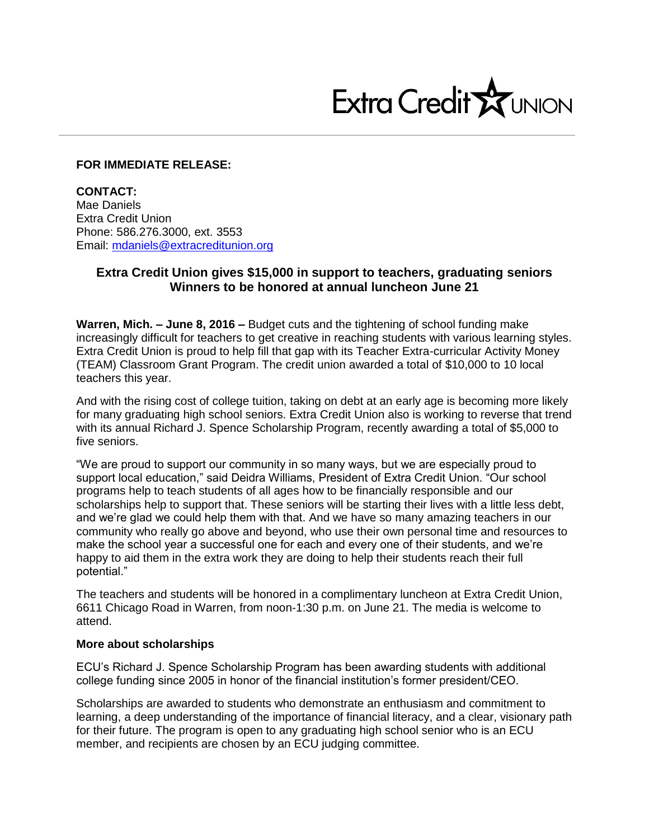

### **FOR IMMEDIATE RELEASE:**

**CONTACT:** Mae Daniels Extra Credit Union Phone: 586.276.3000, ext. 3553 Email: mdaniels@extracreditunion.org

# **Extra Credit Union gives \$15,000 in support to teachers, graduating seniors Winners to be honored at annual luncheon June 21**

**Warren, Mich. – June 8, 2016 –** Budget cuts and the tightening of school funding make increasingly difficult for teachers to get creative in reaching students with various learning styles. Extra Credit Union is proud to help fill that gap with its Teacher Extra-curricular Activity Money (TEAM) Classroom Grant Program. The credit union awarded a total of \$10,000 to 10 local teachers this year.

And with the rising cost of college tuition, taking on debt at an early age is becoming more likely for many graduating high school seniors. Extra Credit Union also is working to reverse that trend with its annual Richard J. Spence Scholarship Program, recently awarding a total of \$5,000 to five seniors.

"We are proud to support our community in so many ways, but we are especially proud to support local education," said Deidra Williams, President of Extra Credit Union. "Our school programs help to teach students of all ages how to be financially responsible and our scholarships help to support that. These seniors will be starting their lives with a little less debt, and we're glad we could help them with that. And we have so many amazing teachers in our community who really go above and beyond, who use their own personal time and resources to make the school year a successful one for each and every one of their students, and we're happy to aid them in the extra work they are doing to help their students reach their full potential."

The teachers and students will be honored in a complimentary luncheon at Extra Credit Union, 6611 Chicago Road in Warren, from noon-1:30 p.m. on June 21. The media is welcome to attend.

### **More about scholarships**

ECU's Richard J. Spence Scholarship Program has been awarding students with additional college funding since 2005 in honor of the financial institution's former president/CEO.

Scholarships are awarded to students who demonstrate an enthusiasm and commitment to learning, a deep understanding of the importance of financial literacy, and a clear, visionary path for their future. The program is open to any graduating high school senior who is an ECU member, and recipients are chosen by an ECU judging committee.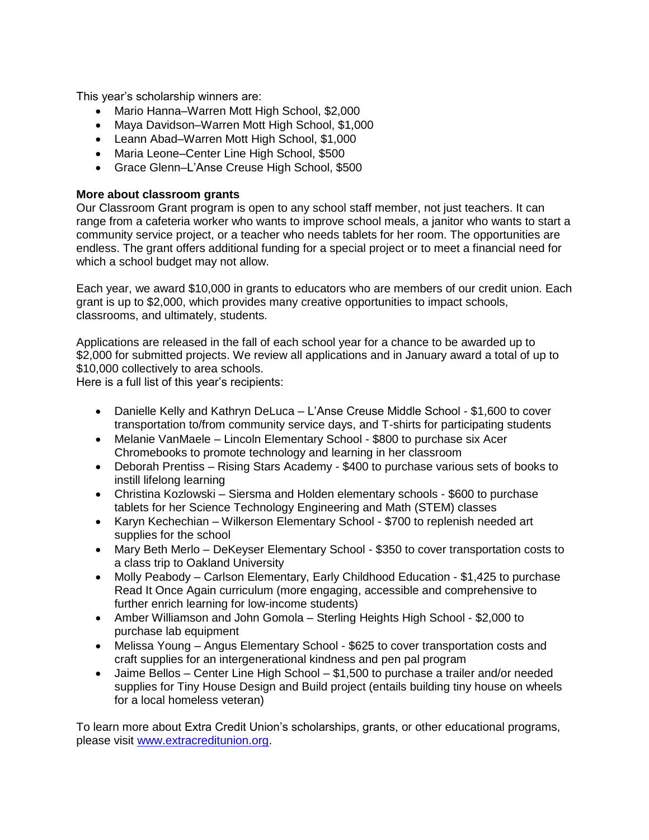This year's scholarship winners are:

- Mario Hanna–Warren Mott High School, \$2,000
- Maya Davidson–Warren Mott High School, \$1,000
- Leann Abad–Warren Mott High School, \$1,000
- Maria Leone–Center Line High School, \$500
- Grace Glenn–L'Anse Creuse High School, \$500

## **More about classroom grants**

Our Classroom Grant program is open to any school staff member, not just teachers. It can range from a cafeteria worker who wants to improve school meals, a janitor who wants to start a community service project, or a teacher who needs tablets for her room. The opportunities are endless. The grant offers additional funding for a special project or to meet a financial need for which a school budget may not allow.

Each year, we award \$10,000 in grants to educators who are members of our credit union. Each grant is up to \$2,000, which provides many creative opportunities to impact schools, classrooms, and ultimately, students.

Applications are released in the fall of each school year for a chance to be awarded up to \$2,000 for submitted projects. We review all applications and in January award a total of up to \$10,000 collectively to area schools.

Here is a full list of this year's recipients:

- Danielle Kelly and Kathryn DeLuca L'Anse Creuse Middle School \$1,600 to cover transportation to/from community service days, and T-shirts for participating students
- Melanie VanMaele Lincoln Elementary School \$800 to purchase six Acer Chromebooks to promote technology and learning in her classroom
- Deborah Prentiss Rising Stars Academy \$400 to purchase various sets of books to instill lifelong learning
- Christina Kozlowski Siersma and Holden elementary schools \$600 to purchase tablets for her Science Technology Engineering and Math (STEM) classes
- Karyn Kechechian Wilkerson Elementary School \$700 to replenish needed art supplies for the school
- Mary Beth Merlo DeKeyser Elementary School \$350 to cover transportation costs to a class trip to Oakland University
- Molly Peabody Carlson Elementary, Early Childhood Education \$1,425 to purchase Read It Once Again curriculum (more engaging, accessible and comprehensive to further enrich learning for low-income students)
- Amber Williamson and John Gomola Sterling Heights High School \$2,000 to purchase lab equipment
- Melissa Young Angus Elementary School \$625 to cover transportation costs and craft supplies for an intergenerational kindness and pen pal program
- Jaime Bellos Center Line High School \$1,500 to purchase a trailer and/or needed supplies for Tiny House Design and Build project (entails building tiny house on wheels for a local homeless veteran)

To learn more about Extra Credit Union's scholarships, grants, or other educational programs, please visit [www.extracreditunion.org.](http://www.extracreditunion.org/)